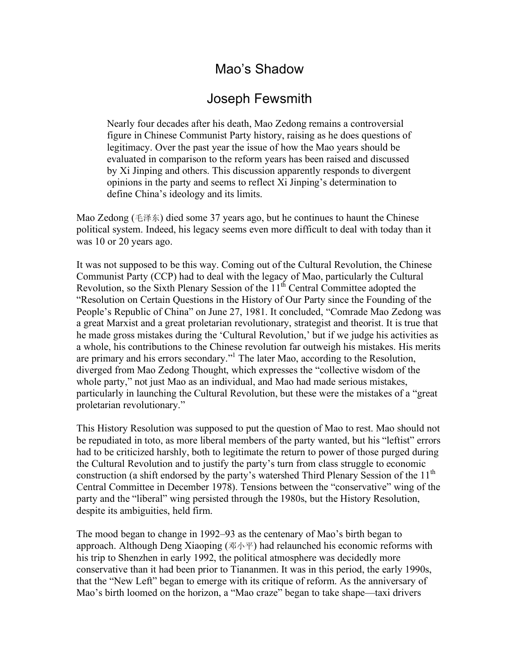# Mao's Shadow

# Joseph Fewsmith

Nearly four decades after his death, Mao Zedong remains a controversial figure in Chinese Communist Party history, raising as he does questions of legitimacy. Over the past year the issue of how the Mao years should be evaluated in comparison to the reform years has been raised and discussed by Xi Jinping and others. This discussion apparently responds to divergent opinions in the party and seems to reflect Xi Jinping's determination to define China's ideology and its limits.

Mao Zedong (毛泽东) died some 37 years ago, but he continues to haunt the Chinese political system. Indeed, his legacy seems even more difficult to deal with today than it was 10 or 20 years ago.

It was not supposed to be this way. Coming out of the Cultural Revolution, the Chinese Communist Party (CCP) had to deal with the legacy of Mao, particularly the Cultural Revolution, so the Sixth Plenary Session of the  $11<sup>th</sup>$  Central Committee adopted the "Resolution on Certain Questions in the History of Our Party since the Founding of the People's Republic of China" on June 27, 1981. It concluded, "Comrade Mao Zedong was a great Marxist and a great proletarian revolutionary, strategist and theorist. It is true that he made gross mistakes during the 'Cultural Revolution,' but if we judge his activities as a whole, his contributions to the Chinese revolution far outweigh his mistakes. His merits are primary and his errors secondary."<sup>1</sup> The later Mao, according to the Resolution, diverged from Mao Zedong Thought, which expresses the "collective wisdom of the whole party," not just Mao as an individual, and Mao had made serious mistakes, particularly in launching the Cultural Revolution, but these were the mistakes of a "great proletarian revolutionary."

This History Resolution was supposed to put the question of Mao to rest. Mao should not be repudiated in toto, as more liberal members of the party wanted, but his "leftist" errors had to be criticized harshly, both to legitimate the return to power of those purged during the Cultural Revolution and to justify the party's turn from class struggle to economic construction (a shift endorsed by the party's watershed Third Plenary Session of the 11<sup>th</sup> Central Committee in December 1978). Tensions between the "conservative" wing of the party and the "liberal" wing persisted through the 1980s, but the History Resolution, despite its ambiguities, held firm.

The mood began to change in 1992–93 as the centenary of Mao's birth began to approach. Although Deng Xiaoping (邓小平) had relaunched his economic reforms with his trip to Shenzhen in early 1992, the political atmosphere was decidedly more conservative than it had been prior to Tiananmen. It was in this period, the early 1990s, that the "New Left" began to emerge with its critique of reform. As the anniversary of Mao's birth loomed on the horizon, a "Mao craze" began to take shape—taxi drivers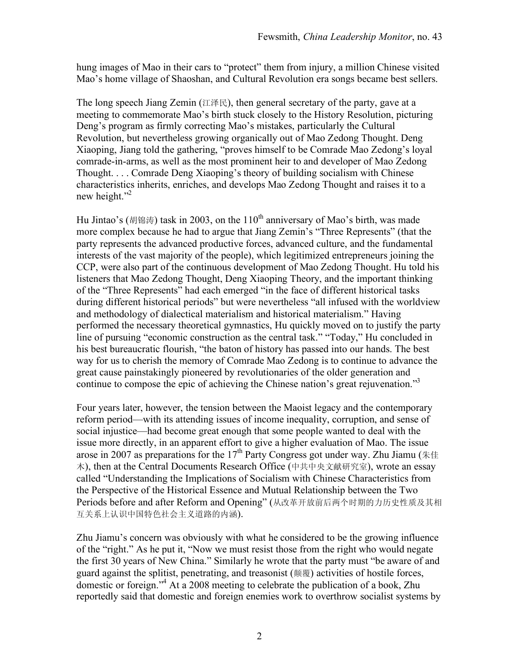hung images of Mao in their cars to "protect" them from injury, a million Chinese visited Mao's home village of Shaoshan, and Cultural Revolution era songs became best sellers.

The long speech Jiang Zemin (江泽民), then general secretary of the party, gave at a meeting to commemorate Mao's birth stuck closely to the History Resolution, picturing Deng's program as firmly correcting Mao's mistakes, particularly the Cultural Revolution, but nevertheless growing organically out of Mao Zedong Thought. Deng Xiaoping, Jiang told the gathering, "proves himself to be Comrade Mao Zedong's loyal comrade-in-arms, as well as the most prominent heir to and developer of Mao Zedong Thought. . . . Comrade Deng Xiaoping's theory of building socialism with Chinese characteristics inherits, enriches, and develops Mao Zedong Thought and raises it to a new height."<sup>2</sup>

Hu Jintao's (胡锦涛) task in 2003, on the 110<sup>th</sup> anniversary of Mao's birth, was made more complex because he had to argue that Jiang Zemin's "Three Represents" (that the party represents the advanced productive forces, advanced culture, and the fundamental interests of the vast majority of the people), which legitimized entrepreneurs joining the CCP, were also part of the continuous development of Mao Zedong Thought. Hu told his listeners that Mao Zedong Thought, Deng Xiaoping Theory, and the important thinking of the "Three Represents" had each emerged "in the face of different historical tasks during different historical periods" but were nevertheless "all infused with the worldview and methodology of dialectical materialism and historical materialism." Having performed the necessary theoretical gymnastics, Hu quickly moved on to justify the party line of pursuing "economic construction as the central task." "Today," Hu concluded in his best bureaucratic flourish, "the baton of history has passed into our hands. The best way for us to cherish the memory of Comrade Mao Zedong is to continue to advance the great cause painstakingly pioneered by revolutionaries of the older generation and continue to compose the epic of achieving the Chinese nation's great rejuvenation."<sup>3</sup>

Four years later, however, the tension between the Maoist legacy and the contemporary reform period—with its attending issues of income inequality, corruption, and sense of social injustice—had become great enough that some people wanted to deal with the issue more directly, in an apparent effort to give a higher evaluation of Mao. The issue arose in 2007 as preparations for the 17<sup>th</sup> Party Congress got under way. Zhu Jiamu (朱佳 木), then at the Central Documents Research Office (中共中央文献研究室), wrote an essay called "Understanding the Implications of Socialism with Chinese Characteristics from the Perspective of the Historical Essence and Mutual Relationship between the Two Periods before and after Reform and Opening" (从改革开放前后两个时期的力历史性质及其相 互关系上认识中国特色社会主义道路的内涵).

Zhu Jiamu's concern was obviously with what he considered to be the growing influence of the "right." As he put it, "Now we must resist those from the right who would negate the first 30 years of New China." Similarly he wrote that the party must "be aware of and guard against the splitist, penetrating, and treasonist (颠覆) activities of hostile forces, domestic or foreign."4 At a 2008 meeting to celebrate the publication of a book, Zhu reportedly said that domestic and foreign enemies work to overthrow socialist systems by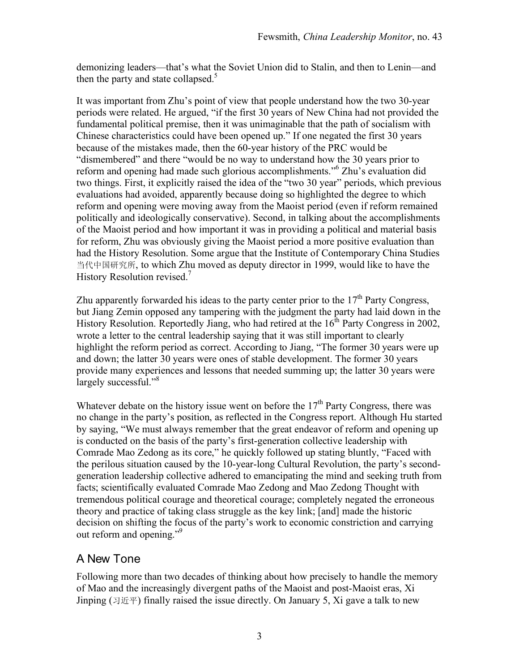demonizing leaders—that's what the Soviet Union did to Stalin, and then to Lenin—and then the party and state collapsed. $5$ 

It was important from Zhu's point of view that people understand how the two 30-year periods were related. He argued, "if the first 30 years of New China had not provided the fundamental political premise, then it was unimaginable that the path of socialism with Chinese characteristics could have been opened up." If one negated the first 30 years because of the mistakes made, then the 60-year history of the PRC would be "dismembered" and there "would be no way to understand how the 30 years prior to reform and opening had made such glorious accomplishments."6 Zhu's evaluation did two things. First, it explicitly raised the idea of the "two 30 year" periods, which previous evaluations had avoided, apparently because doing so highlighted the degree to which reform and opening were moving away from the Maoist period (even if reform remained politically and ideologically conservative). Second, in talking about the accomplishments of the Maoist period and how important it was in providing a political and material basis for reform, Zhu was obviously giving the Maoist period a more positive evaluation than had the History Resolution. Some argue that the Institute of Contemporary China Studies 当代中国研究所, to which Zhu moved as deputy director in 1999, would like to have the History Resolution revised.<sup>7</sup>

Zhu apparently forwarded his ideas to the party center prior to the  $17<sup>th</sup>$  Party Congress, but Jiang Zemin opposed any tampering with the judgment the party had laid down in the History Resolution. Reportedly Jiang, who had retired at the  $16<sup>th</sup>$  Party Congress in 2002, wrote a letter to the central leadership saying that it was still important to clearly highlight the reform period as correct. According to Jiang, "The former 30 years were up and down; the latter 30 years were ones of stable development. The former 30 years provide many experiences and lessons that needed summing up; the latter 30 years were largely successful."<sup>8</sup>

Whatever debate on the history issue went on before the  $17<sup>th</sup>$  Party Congress, there was no change in the party's position, as reflected in the Congress report. Although Hu started by saying, "We must always remember that the great endeavor of reform and opening up is conducted on the basis of the party's first-generation collective leadership with Comrade Mao Zedong as its core," he quickly followed up stating bluntly, "Faced with the perilous situation caused by the 10-year-long Cultural Revolution, the party's secondgeneration leadership collective adhered to emancipating the mind and seeking truth from facts; scientifically evaluated Comrade Mao Zedong and Mao Zedong Thought with tremendous political courage and theoretical courage; completely negated the erroneous theory and practice of taking class struggle as the key link; [and] made the historic decision on shifting the focus of the party's work to economic constriction and carrying out reform and opening."<sup>9</sup>

### A New Tone

Following more than two decades of thinking about how precisely to handle the memory of Mao and the increasingly divergent paths of the Maoist and post-Maoist eras, Xi Jinping ( $\exists \mathfrak{H} \mathfrak{F}$ ) finally raised the issue directly. On January 5, Xi gave a talk to new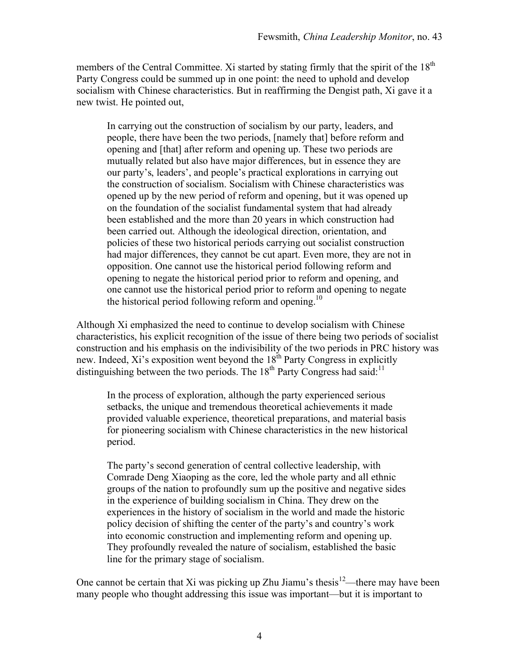members of the Central Committee. Xi started by stating firmly that the spirit of the 18<sup>th</sup> Party Congress could be summed up in one point: the need to uphold and develop socialism with Chinese characteristics. But in reaffirming the Dengist path, Xi gave it a new twist. He pointed out,

In carrying out the construction of socialism by our party, leaders, and people, there have been the two periods, [namely that] before reform and opening and [that] after reform and opening up. These two periods are mutually related but also have major differences, but in essence they are our party's, leaders', and people's practical explorations in carrying out the construction of socialism. Socialism with Chinese characteristics was opened up by the new period of reform and opening, but it was opened up on the foundation of the socialist fundamental system that had already been established and the more than 20 years in which construction had been carried out. Although the ideological direction, orientation, and policies of these two historical periods carrying out socialist construction had major differences, they cannot be cut apart. Even more, they are not in opposition. One cannot use the historical period following reform and opening to negate the historical period prior to reform and opening, and one cannot use the historical period prior to reform and opening to negate the historical period following reform and opening.<sup>10</sup>

Although Xi emphasized the need to continue to develop socialism with Chinese characteristics, his explicit recognition of the issue of there being two periods of socialist construction and his emphasis on the indivisibility of the two periods in PRC history was new. Indeed, Xi's exposition went beyond the  $18^{th}$  Party Congress in explicitly distinguishing between the two periods. The  $18<sup>th</sup>$  Party Congress had said:<sup>11</sup>

In the process of exploration, although the party experienced serious setbacks, the unique and tremendous theoretical achievements it made provided valuable experience, theoretical preparations, and material basis for pioneering socialism with Chinese characteristics in the new historical period.

The party's second generation of central collective leadership, with Comrade Deng Xiaoping as the core, led the whole party and all ethnic groups of the nation to profoundly sum up the positive and negative sides in the experience of building socialism in China. They drew on the experiences in the history of socialism in the world and made the historic policy decision of shifting the center of the party's and country's work into economic construction and implementing reform and opening up. They profoundly revealed the nature of socialism, established the basic line for the primary stage of socialism.

One cannot be certain that Xi was picking up Zhu Jiamu's thesis<sup>12</sup>—there may have been many people who thought addressing this issue was important—but it is important to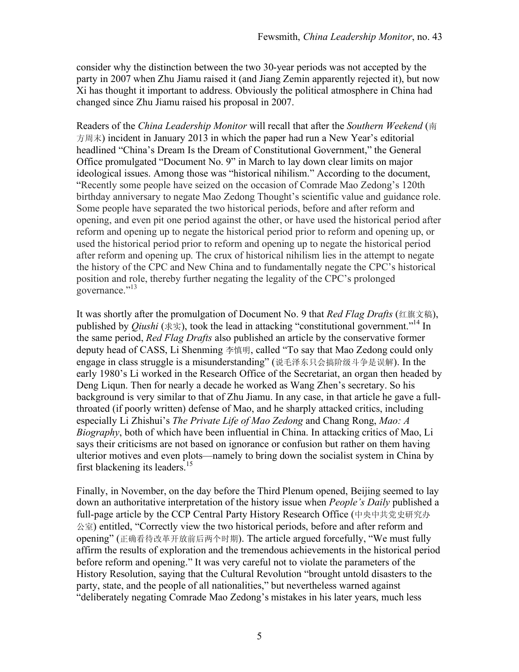consider why the distinction between the two 30-year periods was not accepted by the party in 2007 when Zhu Jiamu raised it (and Jiang Zemin apparently rejected it), but now Xi has thought it important to address. Obviously the political atmosphere in China had changed since Zhu Jiamu raised his proposal in 2007.

Readers of the *China Leadership Monitor* will recall that after the *Southern Weekend* (南 方周末) incident in January 2013 in which the paper had run a New Year's editorial headlined "China's Dream Is the Dream of Constitutional Government," the General Office promulgated "Document No. 9" in March to lay down clear limits on major ideological issues. Among those was "historical nihilism." According to the document, "Recently some people have seized on the occasion of Comrade Mao Zedong's 120th birthday anniversary to negate Mao Zedong Thought's scientific value and guidance role. Some people have separated the two historical periods, before and after reform and opening, and even pit one period against the other, or have used the historical period after reform and opening up to negate the historical period prior to reform and opening up, or used the historical period prior to reform and opening up to negate the historical period after reform and opening up. The crux of historical nihilism lies in the attempt to negate the history of the CPC and New China and to fundamentally negate the CPC's historical position and role, thereby further negating the legality of the CPC's prolonged governance."<sup>13</sup>

It was shortly after the promulgation of Document No. 9 that *Red Flag Drafts* (红旗文稿), published by *Qiushi* (求实), took the lead in attacking "constitutional government."14 In the same period, *Red Flag Drafts* also published an article by the conservative former deputy head of CASS, Li Shenming 李慎明, called "To say that Mao Zedong could only engage in class struggle is a misunderstanding" (说毛泽东只会搞阶级斗争是误解). In the early 1980's Li worked in the Research Office of the Secretariat, an organ then headed by Deng Liqun. Then for nearly a decade he worked as Wang Zhen's secretary. So his background is very similar to that of Zhu Jiamu. In any case, in that article he gave a fullthroated (if poorly written) defense of Mao, and he sharply attacked critics, including especially Li Zhishui's *The Private Life of Mao Zedong* and Chang Rong, *Mao: A Biography*, both of which have been influential in China. In attacking critics of Mao, Li says their criticisms are not based on ignorance or confusion but rather on them having ulterior motives and even plots—namely to bring down the socialist system in China by first blackening its leaders.<sup>15</sup>

Finally, in November, on the day before the Third Plenum opened, Beijing seemed to lay down an authoritative interpretation of the history issue when *People's Daily* published a full-page article by the CCP Central Party History Research Office (中央中共党史研究办 公室) entitled, "Correctly view the two historical periods, before and after reform and opening" (正确看待改革开放前后两个时期). The article argued forcefully, "We must fully affirm the results of exploration and the tremendous achievements in the historical period before reform and opening." It was very careful not to violate the parameters of the History Resolution, saying that the Cultural Revolution "brought untold disasters to the party, state, and the people of all nationalities," but nevertheless warned against "deliberately negating Comrade Mao Zedong's mistakes in his later years, much less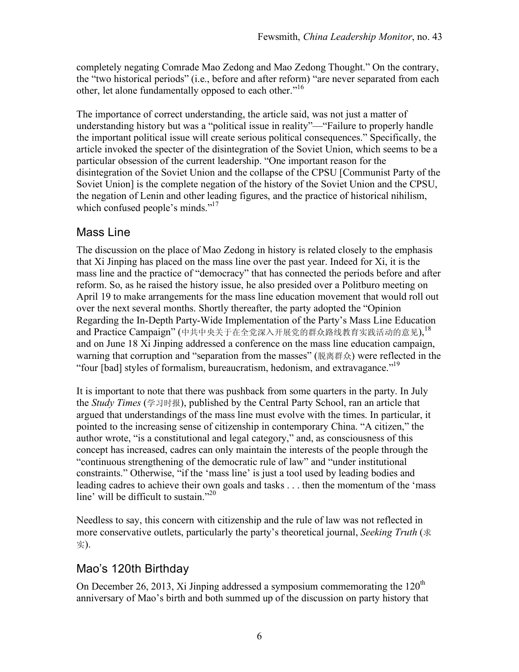completely negating Comrade Mao Zedong and Mao Zedong Thought." On the contrary, the "two historical periods" (i.e., before and after reform) "are never separated from each other, let alone fundamentally opposed to each other."<sup>16</sup>

The importance of correct understanding, the article said, was not just a matter of understanding history but was a "political issue in reality"—"Failure to properly handle the important political issue will create serious political consequences." Specifically, the article invoked the specter of the disintegration of the Soviet Union, which seems to be a particular obsession of the current leadership. "One important reason for the disintegration of the Soviet Union and the collapse of the CPSU [Communist Party of the Soviet Union] is the complete negation of the history of the Soviet Union and the CPSU, the negation of Lenin and other leading figures, and the practice of historical nihilism, which confused people's minds."<sup>17</sup>

## Mass Line

The discussion on the place of Mao Zedong in history is related closely to the emphasis that Xi Jinping has placed on the mass line over the past year. Indeed for Xi, it is the mass line and the practice of "democracy" that has connected the periods before and after reform. So, as he raised the history issue, he also presided over a Politburo meeting on April 19 to make arrangements for the mass line education movement that would roll out over the next several months. Shortly thereafter, the party adopted the "Opinion Regarding the In-Depth Party-Wide Implementation of the Party's Mass Line Education and Practice Campaign" (中共中央关于在全党深入开展党的群众路线教育实践活动的意见), 18 and on June 18 Xi Jinping addressed a conference on the mass line education campaign, warning that corruption and "separation from the masses" (脱离群众) were reflected in the "four [bad] styles of formalism, bureaucratism, hedonism, and extravagance."19

It is important to note that there was pushback from some quarters in the party. In July the *Study Times* (学习时报), published by the Central Party School, ran an article that argued that understandings of the mass line must evolve with the times. In particular, it pointed to the increasing sense of citizenship in contemporary China. "A citizen," the author wrote, "is a constitutional and legal category," and, as consciousness of this concept has increased, cadres can only maintain the interests of the people through the "continuous strengthening of the democratic rule of law" and "under institutional constraints." Otherwise, "if the 'mass line' is just a tool used by leading bodies and leading cadres to achieve their own goals and tasks . . . then the momentum of the 'mass line' will be difficult to sustain."<sup>20</sup>

Needless to say, this concern with citizenship and the rule of law was not reflected in more conservative outlets, particularly the party's theoretical journal, *Seeking Truth* (求 实).

## Mao's 120th Birthday

On December 26, 2013, Xi Jinping addressed a symposium commemorating the  $120<sup>th</sup>$ anniversary of Mao's birth and both summed up of the discussion on party history that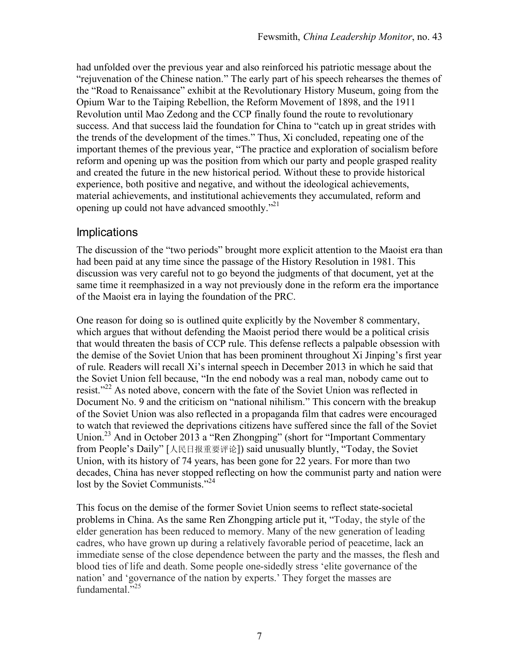had unfolded over the previous year and also reinforced his patriotic message about the "rejuvenation of the Chinese nation." The early part of his speech rehearses the themes of the "Road to Renaissance" exhibit at the Revolutionary History Museum, going from the Opium War to the Taiping Rebellion, the Reform Movement of 1898, and the 1911 Revolution until Mao Zedong and the CCP finally found the route to revolutionary success. And that success laid the foundation for China to "catch up in great strides with the trends of the development of the times." Thus, Xi concluded, repeating one of the important themes of the previous year, "The practice and exploration of socialism before reform and opening up was the position from which our party and people grasped reality and created the future in the new historical period. Without these to provide historical experience, both positive and negative, and without the ideological achievements, material achievements, and institutional achievements they accumulated, reform and opening up could not have advanced smoothly."21

#### **Implications**

The discussion of the "two periods" brought more explicit attention to the Maoist era than had been paid at any time since the passage of the History Resolution in 1981. This discussion was very careful not to go beyond the judgments of that document, yet at the same time it reemphasized in a way not previously done in the reform era the importance of the Maoist era in laying the foundation of the PRC.

One reason for doing so is outlined quite explicitly by the November 8 commentary, which argues that without defending the Maoist period there would be a political crisis that would threaten the basis of CCP rule. This defense reflects a palpable obsession with the demise of the Soviet Union that has been prominent throughout Xi Jinping's first year of rule. Readers will recall Xi's internal speech in December 2013 in which he said that the Soviet Union fell because, "In the end nobody was a real man, nobody came out to resist."<sup>22</sup> As noted above, concern with the fate of the Soviet Union was reflected in Document No. 9 and the criticism on "national nihilism." This concern with the breakup of the Soviet Union was also reflected in a propaganda film that cadres were encouraged to watch that reviewed the deprivations citizens have suffered since the fall of the Soviet Union.<sup>23</sup> And in October 2013 a "Ren Zhongping" (short for "Important Commentary from People's Daily" [人民日报重要评论]) said unusually bluntly, "Today, the Soviet Union, with its history of 74 years, has been gone for 22 years. For more than two decades, China has never stopped reflecting on how the communist party and nation were lost by the Soviet Communists."<sup>24</sup>

This focus on the demise of the former Soviet Union seems to reflect state-societal problems in China. As the same Ren Zhongping article put it, "Today, the style of the elder generation has been reduced to memory. Many of the new generation of leading cadres, who have grown up during a relatively favorable period of peacetime, lack an immediate sense of the close dependence between the party and the masses, the flesh and blood ties of life and death. Some people one-sidedly stress 'elite governance of the nation' and 'governance of the nation by experts.' They forget the masses are fundamental $^{1,25}$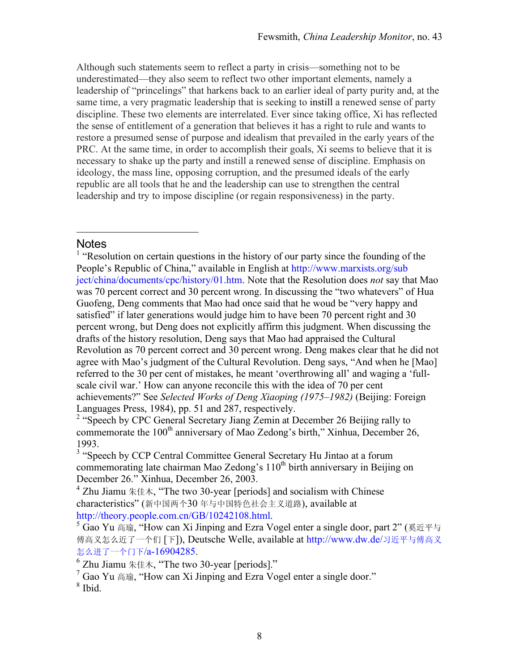Although such statements seem to reflect a party in crisis—something not to be underestimated—they also seem to reflect two other important elements, namely a leadership of "princelings" that harkens back to an earlier ideal of party purity and, at the same time, a very pragmatic leadership that is seeking to instill a renewed sense of party discipline. These two elements are interrelated. Ever since taking office, Xi has reflected the sense of entitlement of a generation that believes it has a right to rule and wants to restore a presumed sense of purpose and idealism that prevailed in the early years of the PRC. At the same time, in order to accomplish their goals, Xi seems to believe that it is necessary to shake up the party and instill a renewed sense of discipline. Emphasis on ideology, the mass line, opposing corruption, and the presumed ideals of the early republic are all tools that he and the leadership can use to strengthen the central leadership and try to impose discipline (or regain responsiveness) in the party.

#### **Notes**

<u>.</u>

<sup>1</sup> "Resolution on certain questions in the history of our party since the founding of the People's Republic of China," available in English at http://www.marxists.org/sub ject/china/documents/cpc/history/01.htm. Note that the Resolution does *not* say that Mao was 70 percent correct and 30 percent wrong. In discussing the "two whatevers" of Hua Guofeng, Deng comments that Mao had once said that he woud be "very happy and satisfied" if later generations would judge him to have been 70 percent right and 30 percent wrong, but Deng does not explicitly affirm this judgment. When discussing the drafts of the history resolution, Deng says that Mao had appraised the Cultural Revolution as 70 percent correct and 30 percent wrong. Deng makes clear that he did not agree with Mao's judgment of the Cultural Revolution. Deng says, "And when he [Mao] referred to the 30 per cent of mistakes, he meant 'overthrowing all' and waging a 'fullscale civil war.' How can anyone reconcile this with the idea of 70 per cent achievements?" See *Selected Works of Deng Xiaoping (1975–1982)* (Beijing: Foreign Languages Press, 1984), pp. 51 and 287, respectively.

<sup>2</sup> "Speech by CPC General Secretary Jiang Zemin at December 26 Beijing rally to commemorate the 100<sup>th</sup> anniversary of Mao Zedong's birth," Xinhua, December 26, 1993.

<sup>3</sup> "Speech by CCP Central Committee General Secretary Hu Jintao at a forum commemorating late chairman Mao Zedong's  $110<sup>th</sup>$  birth anniversary in Beijing on December 26." Xinhua, December 26, 2003.

<sup>4</sup> Zhu Jiamu  $\# \# \pi$ , "The two 30-year [periods] and socialism with Chinese characteristics" (新中国两个30 年与中国特色社会主义道路), available at http://theory.people.com.cn/GB/10242108.html.

<sup>5</sup> Gao Yu 高瑜, "How can Xi Jinping and Ezra Vogel enter a single door, part 2" (奚近平与 傅高义怎么近了一个们 [下]), Deutsche Welle, available at http://www.dw.de/习近平与傅高义 怎么进了一个门下/a-16904285.

<sup>6</sup> Zhu Jiamu 朱佳木, "The two 30-year [periods]."<br><sup>7</sup> Cae Vy 京玲 "Hay sep Yi Jinning and Erre Ve

 $\frac{7}{1}$  Gao Yu  $\overline{a}$  fig. "How can Xi Jinping and Ezra Vogel enter a single door."

 $^8$  Ibid.